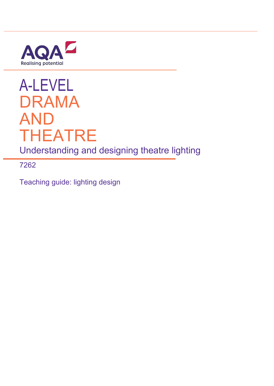

# A-LEVEL DRAMA AND THEATRE

Understanding and designing theatre lighting

7262

Teaching guide: lighting design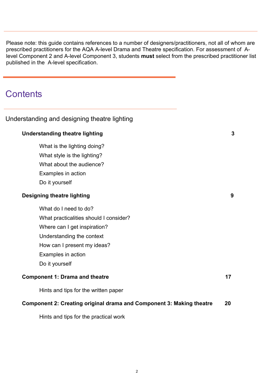Please note: this guide contains references to a number of designers/practitioners, not all of whom are prescribed practitioners for the AQA A-level Drama and Theatre specification. For assessment of Alevel Component 2 and A-level Component 3, students **must** select from the prescribed practitioner list published in the A-level specification.

# **Contents**

## Understanding and designing theatre lighting

# **Understanding theatre lighting 3**

What is the lighting doing? What style is the lighting? [What about the audience?](#page-8-0) Examples in action Do it yourself

## **Designing theatre lighting 9**

What do I need to do?

What practicalities should I consider?

Where can I get inspiration?

Understanding the context

How can I present my ideas?

[Examples in action](#page-16-0)

Do it yourself

## **Co[mponent 1: Drama and theatre](#page-19-0) <b>17 17**

Hints and tips for the written paper

## **Component 2: Creating original drama and Component 3: Making theatre 20**

2

Hints and tips for the practical work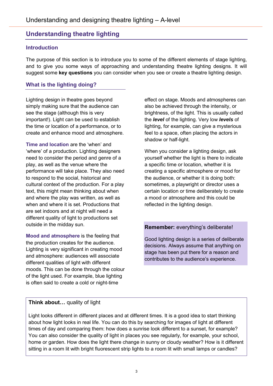# **Understanding theatre lighting**

## **Introduction**

The purpose of this section is to introduce you to some of the different elements of stage lighting, and to give you some ways of approaching and understanding theatre lighting designs. It will suggest some **key questions** you can consider when you see or create a theatre lighting design.

## **What is the lighting doing?**

Lighting design in theatre goes beyond simply making sure that the audience can see the stage (although this is very important!). Light can be used to establish the time or location of a performance, or to create and enhance mood and atmosphere.

**Time and location** are the 'when' and 'where' of a production. Lighting designers need to consider the period and genre of a play, as well as the venue where the performance will take place. They also need to respond to the social, historical and cultural context of the production. For a play text, this might mean thinking about when and where the play was written, as well as when and where it is set. Productions that are set indoors and at night will need a different quality of light to productions set outside in the midday sun.

**Mood and atmosphere** is the feeling that the production creates for the audience. Lighting is very significant in creating mood and atmosphere: audiences will associate different qualities of light with different moods. This can be done through the colour of the light used. For example, blue lighting is often said to create a cold or night-time

effect on stage. Moods and atmospheres can also be achieved through the intensity, or brightness, of the light. This is usually called the *level* of the lighting. Very low *levels* of lighting, for example, can give a mysterious feel to a space, often placing the actors in shadow or half-light.

When you consider a lighting design, ask yourself whether the light is there to indicate a specific time or location, whether it is creating a specific atmosphere or mood for the audience, or whether it is doing both: sometimes, a playwright or director uses a certain location or time deliberately to create a mood or atmosphere and this could be reflected in the lighting design.

## **Remember:** everything's deliberate!

Good lighting design is a series of deliberate decisions. Always assume that anything on stage has been put there for a reason and contributes to the audience's experience.

## **Think about…** quality of light

Light looks different in different places and at different times. It is a good idea to start thinking about how light looks in real life. You can do this by searching for images of light at different times of day and comparing them: how does a sunrise look different to a sunset, for example? You can also consider the quality of light in places you see regularly, for example, your school, home or garden. How does the light there change in sunny or cloudy weather? How is it different sitting in a room lit with bright fluorescent strip lights to a room lit with small lamps or candles?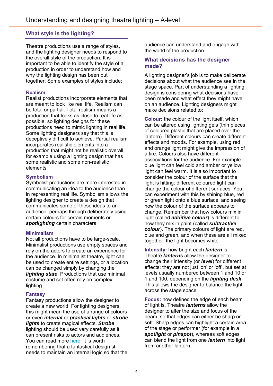## **What style is the lighting?**

Theatre productions use a range of styles, and the lighting designer needs to respond to the overall style of the production. It is important to be able to identify the style of a production in order to understand how and why the lighting design has been put together. Some examples of styles include:

#### **Realism**

Realist productions incorporate elements that are meant to look like real life. Realism can be total or partial. Total realism means a production that looks as close to real life as possible, so lighting designs for these productions need to mimic lighting in real life. Some lighting designers say that this is deceptively difficult to achieve. Partial realism incorporates realistic elements into a production that might not be realistic overall, for example using a lighting design that has some realistic and some non-realistic elements.

#### **Symbolism**

Symbolist productions are more interested in communicating an idea to the audience than in representing real life. Symbolism allows the lighting designer to create a design that communicates some of these ideas to an audience, perhaps through deliberately using certain colours for certain moments or *spotlighting* certain characters.

#### **Minimalism**

Not all productions have to be large-scale. Minimalist productions use empty spaces and rely on the actors to create an experience for the audience. In minimalist theatre, light can be used to create entire settings, or a location can be changed simply by changing the *lighting state.* Productions that use minimal costume and set often rely on complex lighting.

#### **Fantasy**

Fantasy productions allow the designer to create a new world. For lighting designers, this might mean the use of a range of colours or even *internal* or *practical lights* or *strobe lights* to create magical effects. *Strobe* lighting should be used very carefully as it can present risks to actors and audiences. You can read more [here.](http://www.bbc.co.uk/safety/resources/aztopics/strobe-lighting.html) It is worth remembering that a fantastical design still needs to maintain an internal logic so that the

audience can understand and engage with the world of the production.

#### **What decisions has the designer made?**

A lighting designer's job is to make deliberate decisions about what the audience see in the stage space. Part of understanding a lighting design is considering what decisions have been made and what effect they might have on an audience. Lighting designers might make decisions related to:

**Colour:** the colour of the light itself, which can be altered using lighting gels (thin pieces of coloured plastic that are placed over the lantern). Different colours can create different effects and moods. For example, using red and orange light might give the impression of a fire. Colours also have different associations for the audience. For example blue light can feel cold and amber or yellow light can feel warm. It is also important to consider the colour of the surface that the light is hitting: different coloured light can change the colour of different surfaces. You can experiment with this by shining blue, red or green light onto a blue surface, and seeing how the colour of the surface appears to change. Remember that how colours mix in light (called *additive colour*) is different to how they mix in paint (called *subtractive colour*). The primary colours of light are red, blue and green, and when these are all mixed together, the light becomes white.

**Intensity:** how bright each *lantern* is. Theatre *lanterns* allow the designer to change their intensity (or *level*) for different effects: they are not just 'on' or 'off', but set at levels usually numbered between 1 and 10 or 1 and 100, depending on the *lighting desk*. This allows the designer to balance the light across the stage space.

**Focus:** how defined the edge of each beam of light is. Theatre *lanterns* allow the designer to alter the size and focus of the beam, so that edges can either be sharp or soft. Sharp edges can highlight a certain area of the stage or performer (for example in a *spotlight* or *pinspot*), whereas soft edges can blend the light from one *lantern* into light from another lantern.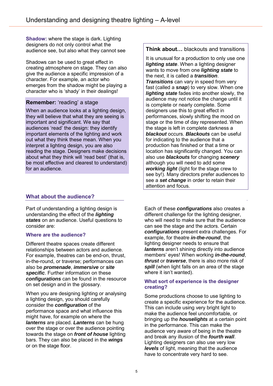**Shadow:** where the stage is dark. Lighting designers do not only control what the audience see, but also what they cannot see

Shadows can be used to great effect in creating atmosphere on stage. They can also give the audience a specific impression of a character. For example, an actor who emerges from the shadow might be playing a character who is 'shady' in their dealings!

## **Remember:** 'reading' a stage

When an audience looks at a lighting design, they will believe that what they are seeing is important and significant. We say that audiences 'read' the design: they identify important elements of the lighting and work out what they think these mean. When you interpret a lighting design, you are also reading the stage. Designers make decisions about what they think will 'read best' (that is, be most effective and clearest to understand) for an audience.

## **What about the audience?**

Part of understanding a lighting design is understanding the effect of the *lighting states* on an audience. Useful questions to consider are:

#### **Where are the audience?**

Different theatre spaces create different relationships between actors and audience. For example, theatres can be end-on, thrust, in-the-round, or traverse; performances can also be *promenade*, *immersive* or *site specific*. Further information on these *configurations* can be found in the resource on set design and in the glossary.

When you are designing lighting or analysing a lighting design, you should carefully consider the *configuration* of the performance space and what influence this might have, for example on where the *lanterns* are placed. *Lanterns* can be hung over the stage or over the audience pointing towards the stage on *front of house* lighting bars. They can also be placed in the *wings* or on the stage floor.

**Think about…** blackouts and transitions

It is unusual for a production to only use one *lighting state*. When a lighting designer wants to move from one *lighting state* to the next, it is called a *transition*. *Transitions* can vary in speed from very fast (called a *snap*) to very slow. When one *lighting state* fades into another slowly, the audience may not notice the change until it is complete or nearly complete. Some designers use this to great effect in performances, slowly shifting the mood on stage or the time of day represented. When the stage is left in complete darkness a *blackout* occurs. *Blackouts* can be useful for indicating to the audience that a production has finished or that a time or location has significantly changed. You can also use *blackouts* for changing *scenery* although you will need to add some *working light* (light for the stage crew to see by!). Many directors prefer audiences to see a *set change* in order to retain their attention and focus.

Each of these *configurations* also creates a different challenge for the lighting designer, who will need to make sure that the audience can see the stage and the actors. Certain *configurations* present extra challenges. For example, for theatre *in-the-round*, the lighting designer needs to ensure that *lanterns* aren't shining directly into audience members' eyes! When working *in-the-round*, *thrust* or *traverse*, there is also more risk of *spill* (when light falls on an area of the stage where it isn't wanted).

#### **What sort of experience is the designer creating?**

Some productions choose to use lighting to create a specific experience for the audience. This can include using very bright light to make the audience feel uncomfortable, or bringing up the *houselights* at a certain point in the performance. This can make the audience very aware of being in the theatre and break any illusion of the *fourth wall*. Lighting designers can also use very low *levels* of light, meaning that the audience have to concentrate very hard to see.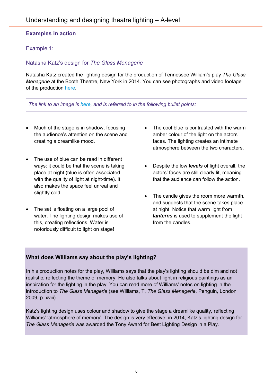## **Examples in action**

## Example 1:

## Natasha Katz's design for *The Glass Menagerie*

Natasha Katz created the lighting design for the production of Tennessee William's play *The Glass Menagerie* at the Booth Theatre, New York in 2014. You can see photographs and video footage of the production [here.](http://natashakatz.com/theglassmenagerie.html)

*The link to an image is [here,](http://whitelight.ltd.uk/wp-content/uploads/2014/06/glass-menagerie-photo-michael-j-lutch.jpg) and is referred to in the following bullet points:* 

- Much of the stage is in shadow, focusing the audience's attention on the scene and creating a dreamlike mood.
- The use of blue can be read in different ways: it could be that the scene is taking place at night (blue is often associated with the quality of light at night-time). It also makes the space feel unreal and slightly cold.
- The set is floating on a large pool of water. The lighting design makes use of this, creating reflections. Water is notoriously difficult to light on stage!
- The cool blue is contrasted with the warm amber colour of the light on the actors' faces. The lighting creates an intimate atmosphere between the two characters.
- Despite the low *levels* of light overall, the actors' faces are still clearly lit, meaning that the audience can follow the action.
- The candle gives the room more warmth, and suggests that the scene takes place at night. Notice that warm light from *lanterns* is used to supplement the light from the candles.

## **What does Williams say about the play's lighting?**

In his production notes for the play, Williams says that the play's lighting should be dim and not realistic, reflecting the theme of memory. He also talks about light in religious paintings as an inspiration for the lighting in the play. You can read more of Williams' notes on lighting in the introduction to *The Glass Menagerie* (see Williams, T, *The Glass Menagerie*, Penguin, London 2009, p. xviii).

Katz's lighting design uses colour and shadow to give the stage a dreamlike quality, reflecting Williams' 'atmosphere of memory'. The design is very effective: in 2014, Katz's lighting design for *The Glass Menagerie* was awarded the Tony Award for Best Lighting Design in a Play.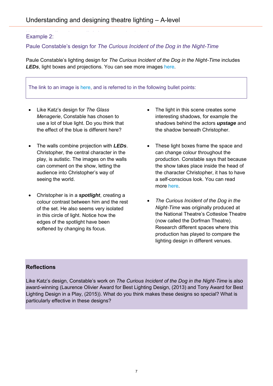# Understanding the action of the action of the action of the action of the action of the action of the action of the action of the action of the action of the action of the action of the action of the action of the action o

## Paule Constable's design for *The Curious Incident of the Dog in the Night-Time*

Paule Constable's lighting design for *The Curious Incident of the Dog in the Night-Time* includes *LEDs*, light boxes and projections. You can see more images [here.](http://www.pauleconstable.com/#/theatre-gallery/4577261221)

The link to an image is [here,](http://assets.londonist.com/uploads/2013/03/i875/jpeg41.jpg) and is referred to in the following bullet points:

- Like Katz's design for *The Glass Menagerie*, Constable has chosen to use a lot of blue light. Do you think that the effect of the blue is different here?
- The walls combine projection with *LEDs*. Christopher, the central character in the play, is autistic. The images on the walls can comment on the show, letting the audience into Christopher's way of seeing the world.
- Christopher is in a *spotlight*, creating a colour contrast between him and the rest of the set. He also seems very isolated in this circle of light. Notice how the edges of the spotlight have been softened by changing its focus.
- The light in this scene creates some interesting shadows, for example the shadows behind the actors *upstage* and the shadow beneath Christopher.
- These light boxes frame the space and can change colour throughout the production. Constable says that because the show takes place inside the head of the character Christopher, it has to have a self-conscious look. You can read more [here.](http://www.whitelight.ltd.uk/)
- *The Curious Incident of the Dog in the Night-Time* was originally produced at the National Theatre's Cottesloe Theatre (now called the Dorfman Theatre). Research different spaces where this production has played to compare the lighting design in different venues.

## **Reflections**

Like Katz's design, Constable's work on *The Curious Incident of the Dog in the Night-Time* is also award-winning (Laurence Olivier Award for Best Lighting Design, (2013) and Tony Award for Best Lighting Design in a Play, (2015)). What do you think makes these designs so special? What is particularly effective in these designs?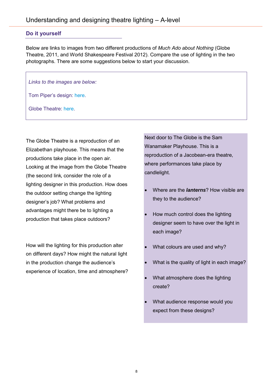#### **Do it yourself**

Below are links to images from two different productions of *Much Ado about Nothing* (Globe Theatre, 2011, and World Shakespeare Festival 2012). Compare the use of lighting in the two photographs. There are some suggestions below to start your discussion.

*Links to the images are below:*

Tom Piper's design: [here.](http://tompiperdesign.co.uk/wp-content/gallery/much-ado/2012-07-25-21-47-54.jpg)

Globe Theatre: [here.](http://simpson.edu/wp-content/uploads/2012/10/IMG_1092.jpg)

The Globe Theatre is a reproduction of an Elizabethan playhouse. This means that the productions take place in the open air. Looking at the image from the Globe Theatre (the second link, consider the role of a lighting designer in this production. How does the outdoor setting change the lighting designer's job? What problems and advantages might there be to lighting a production that takes place outdoors?

How will the lighting for this production alter on different days? How might the natural light in the production change the audience's experience of location, time and atmosphere? Next door to The Globe is the Sam Wanamaker Playhouse. This is a reproduction of a Jacobean-era theatre, where performances take place by candlelight.

- Where are the *lanterns*? How visible are they to the audience?
- How much control does the lighting designer seem to have over the light in each image?
- What colours are used and why?
- What is the quality of light in each image?
- What atmosphere does the lighting create?
- What audience response would you expect from these designs?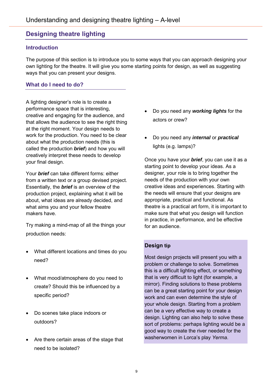## <span id="page-8-0"></span>**Designing theatre lighting**

#### **Introduction**

The purpose of this section is to introduce you to some ways that you can approach designing your own lighting for the theatre. It will give you some starting points for design, as well as suggesting ways that you can present your designs.

## **What do I need to do?**

A lighting designer's role is to create a performance space that is interesting, creative and engaging for the audience, and that allows the audience to see the right thing at the right moment. Your design needs to work for the production. You need to be clear about what the production needs (this is called the production *brief*) and how you will creatively interpret these needs to develop your final design.

Your *brief* can take different forms: either from a written text or a group devised project. Essentially, the *brief* is an overview of the production project, explaining what it will be about, what ideas are already decided, and what aims you and your fellow theatre makers have.

Try making a mind-map of all the things your production needs:

- What different locations and times do you need?
- What mood/atmosphere do you need to create? Should this be influenced by a specific period?
- Do scenes take place indoors or outdoors?
- Are there certain areas of the stage that need to be isolated?
- Do you need any *working lights* for the actors or crew?
- Do you need any *internal* or *practical* lights (e.g. lamps)?

Once you have your *brief*, you can use it as a starting point to develop your ideas. As a designer, your role is to bring together the needs of the production with your own creative ideas and experiences. Starting with the needs will ensure that your designs are appropriate, practical and functional. As theatre is a practical art form, it is important to make sure that what you design will function in practice, in performance, and be effective for an audience.

## **Design tip**

Most design projects will present you with a problem or challenge to solve. Sometimes this is a difficult lighting effect, or something that is very difficult to light (for example, a mirror). Finding solutions to these problems can be a great starting point for your design work and can even determine the style of your whole design. Starting from a problem can be a very effective way to create a design. Lighting can also help to solve these sort of problems: perhaps lighting would be a good way to create the river needed for the washerwomen in Lorca's play *Yerma*.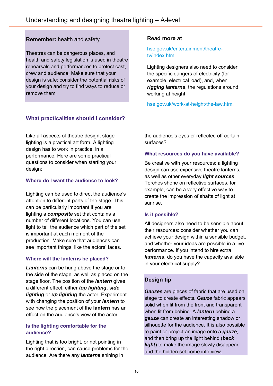## **Remember:** health and safety

Theatres can be dangerous places, and health and safety legislation is used in theatre rehearsals and performances to protect cast, crew and audience. Make sure that your design is safe: consider the potential risks of your design and try to find ways to reduce or remove them.

## **What practicalities should I consider?**

Like all aspects of theatre design, stage lighting is a practical art form. A lighting design has to work in practice, in a performance. Here are some practical questions to consider when starting your design:

## **Where do I want the audience to look?**

Lighting can be used to direct the audience's attention to different parts of the stage. This can be particularly important if you are lighting a *composite* set that contains a number of different locations. You can use light to tell the audience which part of the set is important at each moment of the production. Make sure that audiences can see important things, like the actors' faces.

#### **Where will the lanterns be placed?**

*Lanterns* can be hung above the stage or to the side of the stage, as well as placed on the stage floor. The position of the *lantern* gives a different effect, either *top lighting*, *side lighting* or *up lighting* the actor. Experiment with changing the position of your *lantern* to see how the placement of the **lantern** has an effect on the audience's view of the actor.

#### **Is the lighting comfortable for the audience?**

Lighting that is too bright, or not pointing in the right direction, can cause problems for the audience. Are there any *lanterns* shining in

#### **Read more at**

#### [hse.gov.uk/entertainment/theatre](http://www.hse.gov.uk/entertainment/theatre-tv/index.htm)[tv/index.htm.](http://www.hse.gov.uk/entertainment/theatre-tv/index.htm)

Lighting designers also need to consider the specific dangers of electricity (for example, electrical load), and, when *rigging lanterns*, the regulations around working at height:

[hse.gov.uk/work-at-height/the-law.htm.](http://www.hse.gov.uk/work-at-height/the-law.htm)

the audience's eyes or reflected off certain surfaces?

#### **What resources do you have available?**

Be creative with your resources: a lighting design can use expensive theatre lanterns, as well as other everyday *light sources*. Torches shone on reflective surfaces, for example, can be a very effective way to create the impression of shafts of light at sunrise.

#### **Is it possible?**

All designers also need to be sensible about their resources: consider whether you can achieve your design within a sensible budget, and whether your ideas are possible in a live performance. If you intend to hire extra *lanterns*, do you have the capacity available in your electrical supply?

## **Design tip**

*Gauzes* are pieces of fabric that are used on stage to create effects. *Gauze* fabric appears solid when lit from the front and transparent when lit from behind. A *lantern* behind a *gauze* can create an interesting shadow or silhouette for the audience. It is also possible to paint or project an image onto a *gauze*, and then bring up the light behind (*back light*) to make the image slowly disappear and the hidden set come into view.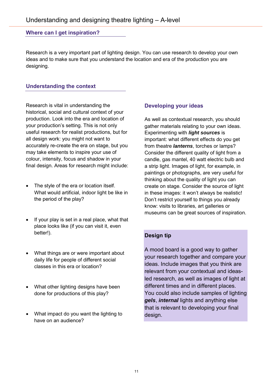#### **Where can I get inspiration?**

Research is a very important part of lighting design. You can use research to develop your own ideas and to make sure that you understand the location and era of the production you are designing.

#### **Understanding the context**

Research is vital in understanding the historical, social and cultural context of your production. Look into the era and location of your production's setting. This is not only useful research for realist productions, but for all design work: you might not want to accurately re-create the era on stage, but you may take elements to inspire your use of colour, intensity, focus and shadow in your final design. Areas for research might include:

- The style of the era or location itself. What would artificial, indoor light be like in the period of the play?
- If your play is set in a real place, what that place looks like (if you can visit it, even better!).
- What things are or were important about daily life for people of different social classes in this era or location?
- What other lighting designs have been done for productions of this play?
- What impact do you want the lighting to have on an audience?

#### **Developing your ideas**

As well as contextual research, you should gather materials relating to your own ideas. Experimenting with *light sources* is important: what different effects do you get from theatre *lanterns*, torches or lamps? Consider the different quality of light from a candle, gas mantel, 40 watt electric bulb and a strip light. Images of light, for example, in paintings or photographs, are very useful for thinking about the quality of light you can create on stage. Consider the source of light in these images: it won't always be realistic! Don't restrict yourself to things you already know: visits to libraries, art galleries or museums can be great sources of inspiration.

#### **Design tip**

A mood board is a good way to gather your research together and compare your ideas. Include images that you think are relevant from your contextual and ideasled research, as well as images of light at different times and in different places. You could also include samples of lighting *gels*, *internal* lights and anything else that is relevant to developing your final design.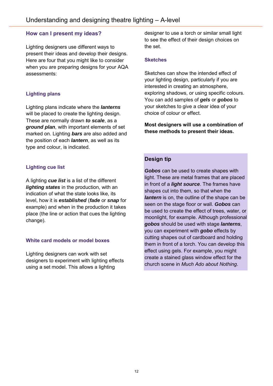## **How can I present my ideas?**

Lighting designers use different ways to present their ideas and develop their designs. Here are four that you might like to consider when you are preparing designs for your AQA assessments:

## **Lighting plans**

Lighting plans indicate where the *lanterns* will be placed to create the lighting design. These are normally drawn *to scale*, as a *ground plan*, with important elements of set marked on. Lighting *bars* are also added and the position of each *lantern*, as well as its type and colour, is indicated.

## **Lighting cue list**

A lighting *cue list* is a list of the different *lighting states* in the production, with an indication of what the state looks like, its level, how it is *established* (*fade* or *snap* for example) and when in the production it takes place (the line or action that cues the lighting change).

#### **White card models or model boxes**

Lighting designers can work with set designers to experiment with lighting effects using a set model. This allows a lighting

designer to use a torch or similar small light to see the effect of their design choices on the set.

## **Sketches**

Sketches can show the intended effect of your lighting design, particularly if you are interested in creating an atmosphere, exploring shadows, or using specific colours. You can add samples of *gels* or *gobos* to your sketches to give a clear idea of your choice of colour or effect.

**Most designers will use a combination of these methods to present their ideas.**

## **Design tip**

*Gobos* can be used to create shapes with light. These are metal frames that are placed in front of a *light source*. The frames have shapes cut into them, so that when the *lantern* is on, the outline of the shape can be seen on the stage floor or wall. *Gobos* can be used to create the effect of trees, water, or moonlight, for example. Although professional *gobos* should be used with stage *lanterns*, you can experiment with *gobo* effects by cutting shapes out of cardboard and holding them in front of a torch. You can develop this effect using gels. For example, you might create a stained glass window effect for the church scene in *Much Ado about Nothing*.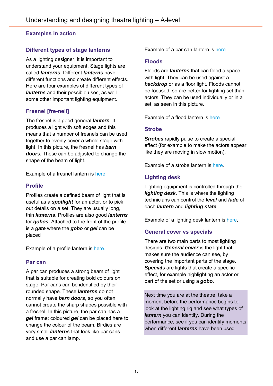## **Examples in action**

## **Different types of stage lanterns**

As a lighting designer, it is important to understand your equipment. Stage lights are called *lanterns*. Different *lanterns* have different functions and create different effects. Here are four examples of different types of *lanterns* and their possible uses, as well some other important lighting equipment.

## **Fresnel [fre-nell]**

The fresnel is a good general *lantern*. It produces a light with soft edges and this means that a number of fresnels can be used together to evenly cover a whole stage with light. In this picture, the fresnel has *barn doors*. These can be adjusted to change the shape of the beam of light.

Example of a fresnel lantern is [here.](http://www.elationlighting.com/images/products/ELED-Fresnel-II.jpg)

## **Profile**

Profiles create a defined beam of light that is useful as a *spotlight* for an actor, or to pick out details on a set. They are usually long, thin *lanterns*. Profiles are also good *lanterns* for *gobos*. Attached to the front of the profile is a *gate* where the *gobo* or *gel* can be placed

Example of a profile lantern is [here.](https://cdn.shopify.com/s/files/1/1192/0958/products/Selecon_Acclaim_Axial_18-34_Zoomspot_1024x1024.jpg?v=1467870079)

#### **Par can**

A par can produces a strong beam of light that is suitable for creating bold colours on stage. Par cans can be identified by their rounded shape. These *lanterns* do not normally have *barn doors*, so you often cannot create the sharp shapes possible with a fresnel. In this picture, the par can has a *gel* frame: coloured *gel* can be placed here to change the colour of the beam. Birdies are very small *lanterns* that look like par cans and use a par can lamp.

Example of a par can lantern is [here.](http://jnix.student.ewweb.co.uk/wp-content/uploads/sites/189/2015/01/LThomas_PAR_64_Black.jpg)

## **Floods**

Floods are *lanterns* that can flood a space with light. They can be used against a **backdrop** or as a floor light. Floods cannot be focused, so are better for lighting set than actors. They can be used individually or in a set, as seen in this picture.

Example of a flood lantern is [here.](http://www.lwtc.com/hireimages/coda3.jpg)

#### **Strobe**

**Strobes** rapidly pulse to create a special effect (for example to make the actors appear like they are moving in slow motion).

Example of a strobe lantern is [here.](https://prolight.co.uk/wp-content/uploads/2016/04/STRO10_U01-1.jpg)

## **Lighting desk**

Lighting equipment is controlled through the *lighting desk*. This is where the lighting technicians can control the *level* and *fade* of each *lantern* and *lighting state*.

Example of a lighting desk lantern is [here.](https://s-media-cache-ak0.pinimg.com/736x/1f/b6/86/1fb68638aadd93d73f5a447b9477f449.jpg)

## **General cover vs specials**

There are two main parts to most lighting designs. *General cover* is the light that makes sure the audience can see, by covering the important parts of the stage. *Specials* are lights that create a specific effect, for example highlighting an actor or part of the set or using a *gobo*.

Next time you are at the theatre, take a moment before the performance begins to look at the lighting rig and see what types of *lantern* you can identify. During the performance, see if you can identify moments when different *lanterns* have been used.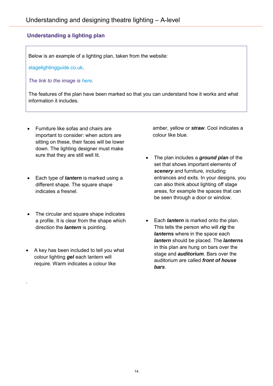# **Understanding a lighting plan**

Below is an example of a lighting plan, taken from the website:

[stagelightingguide.co.uk.](http://www.stagelightingguide.co.uk/)

*The link to the image is [here.](http://avacoustics.in/wp-content/uploads/2015/04/stage-light-5.jpg)* 

The features of the plan have been marked so that you can understand how it works and what information it includes.

- Furniture like sofas and chairs are important to consider: when actors are sitting on these, their faces will be lower down. The lighting designer must make sure that they are still well lit.
- Each type of *lantern* is marked using a different shape. The square shape indicates a fresnel.
- The circular and square shape indicates a profile. It is clear from the shape which direction the *lantern* is pointing.
- A key has been included to tell you what colour lighting *gel* each lantern will require. Warm indicates a colour like

.

amber, yellow or *straw*. Cool indicates a colour like blue.

- The plan includes a *ground plan* of the set that shows important elements of *scenery* and furniture, including entrances and exits. In your designs, you can also think about lighting off stage areas, for example the spaces that can be seen through a door or window.
- Each *lantern* is marked onto the plan. This tells the person who will *rig* the *lanterns* where in the space each *lantern* should be placed. The *lanterns* in this plan are hung on bars over the stage and *auditorium*. Bars over the auditorium are called *front of house bars*.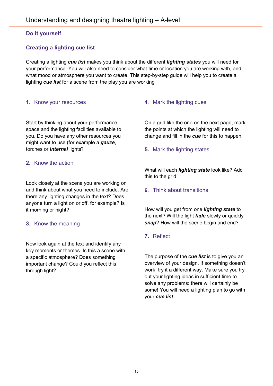## **Do it yourself**

## **Creating a lighting cue list**

Creating a lighting *cue list* makes you think about the different *lighting states* you will need for your performance. You will also need to consider what time or location you are working with, and what mood or atmosphere you want to create. This step-by-step guide will help you to create a lighting *cue list* for a scene from the play you are working

## **1.** Know your resources

Start by thinking about your performance space and the lighting facilities available to you. Do you have any other resources you might want to use (for example a *gauze*, torches or *internal* lights?

## **2.** Know the action

Look closely at the scene you are working on and think about what you need to include. Are there any lighting changes in the text? Does anyone turn a light on or off, for example? Is it morning or night?

## **3.** Know the meaning

Now look again at the text and identify any key moments or themes. Is this a scene with a specific atmosphere? Does something important change? Could you reflect this through light?

## **4.** Mark the lighting cues

On a grid like the one on the next page, mark the points at which the lighting will need to change and fill in the *cue* for this to happen.

## **5.** Mark the lighting states

What will each *lighting state* look like? Add this to the grid.

#### **6.** Think about transitions

How will you get from one *lighting state* to the next? Will the light *fade* slowly or quickly *snap*? How will the scene begin and end?

## **7.** Reflect

The purpose of the *cue list* is to give you an overview of your design. If something doesn't work, try it a different way. Make sure you try out your lighting ideas in sufficient time to solve any problems: there will certainly be some! You will need a lighting plan to go with your *cue list*.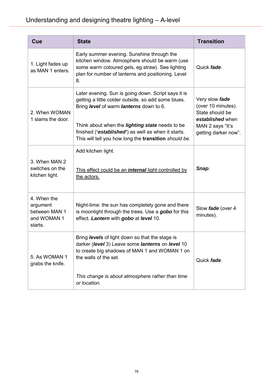| Cue                                                                | <b>State</b>                                                                                                                                                                                                                                                                                                                    | <b>Transition</b>                                                                                                       |
|--------------------------------------------------------------------|---------------------------------------------------------------------------------------------------------------------------------------------------------------------------------------------------------------------------------------------------------------------------------------------------------------------------------|-------------------------------------------------------------------------------------------------------------------------|
| 1. Light fades up<br>as MAN 1 enters.                              | Early summer evening. Sunshine through the<br>kitchen window. Atmosphere should be warm (use<br>some warm coloured gels, eg straw). See lighting<br>plan for number of lanterns and positioning. Level<br>8.                                                                                                                    | Quick fade.                                                                                                             |
| 2. When WOMAN<br>1 slams the door.                                 | Later evening. Sun is going down. Script says it is<br>getting a little colder outside, so add some blues.<br>Bring level of warm lanterns down to 6.<br>Think about when the <i>lighting state</i> needs to be<br>finished ('established') as well as when it starts.<br>This will tell you how long the transition should be. | Very slow fade<br>(over 10 minutes).<br>State should be<br>established when<br>MAN 2 says "It's<br>getting darker now". |
| 3. When MAN 2<br>switches on the<br>kitchen light.                 | Add kitchen light.<br>This effect could be an <i>internal</i> light controlled by<br>the actors.                                                                                                                                                                                                                                | Snap.                                                                                                                   |
| 4. When the<br>argument<br>between MAN 1<br>and WOMAN 1<br>starts. | Night-time: the sun has completely gone and there<br>is moonlight through the trees. Use a gobo for this<br>effect. Lantern with gobo at level 10.                                                                                                                                                                              | Slow fade (over 4<br>minutes).                                                                                          |
| 5. As WOMAN 1<br>grabs the knife.                                  | Bring levels of light down so that the stage is<br>darker (level 3) Leave some lanterns on level 10<br>to create big shadows of MAN 1 and WOMAN 1 on<br>the walls of the set.<br>This change is about atmosphere rather than time<br>or location.                                                                               | Quick fade.                                                                                                             |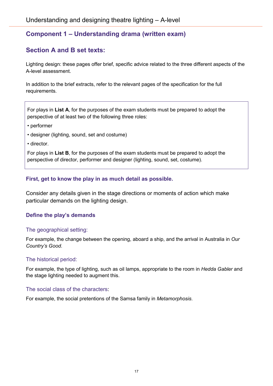# <span id="page-16-0"></span>**Component 1 – Understanding drama (written exam)**

# **Section A and B set texts:**

Lighting design: these pages offer brief, specific advice related to the three different aspects of the A-level assessment.

In addition to the brief extracts, refer to the relevant pages of the specification for the full requirements.

For plays in **List A**, for the purposes of the exam students must be prepared to adopt the perspective of at least two of the following three roles:

- performer
- designer (lighting, sound, set and costume)
- director.

For plays in **List B**, for the purposes of the exam students must be prepared to adopt the perspective of director, performer and designer (lighting, sound, set, costume).

## **First, get to know the play in as much detail as possible.**

Consider any details given in the stage directions or moments of action which make particular demands on the lighting design.

#### **Define the play's demands**

#### The geographical setting:

For example, the change between the opening, aboard a ship, and the arrival in Australia in *Our Country's Good.*

#### The historical period:

For example, the type of lighting, such as oil lamps, appropriate to the room in *Hedda Gabler* and the stage lighting needed to augment this.

#### The social class of the characters:

For example, the social pretentions of the Samsa family in *Metamorphosis*.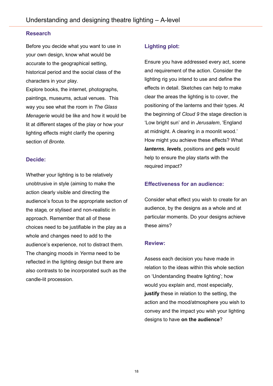#### **Research**

Before you decide what you want to use in your own design, know what would be accurate to the geographical setting, historical period and the social class of the characters in your play.

Explore books, the internet, photographs, paintings, museums, actual venues. This way you see what the room in *The Glass Menagerie* would be like and how it would be lit at different stages of the play or how your lighting effects might clarify the opening section of *Bronte*.

#### **Decide:**

Whether your lighting is to be relatively unobtrusive in style (aiming to make the action clearly visible and directing the audience's focus to the appropriate section of the stage, or stylised and non-realistic in approach. Remember that all of these choices need to be justifiable in the play as a whole and changes need to add to the audience's experience, not to distract them. The changing moods in *Yerma* need to be reflected in the lighting design but there are also contrasts to be incorporated such as the candle-lit procession.

#### **Lighting plot:**

Ensure you have addressed every act, scene and requirement of the action. Consider the lighting rig you intend to use and define the effects in detail. Sketches can help to make clear the areas the lighting is to cover, the positioning of the lanterns and their types. At the beginning of *Cloud 9* the stage direction is 'Low bright sun' and in *Jerusalem*, 'England at midnight. A clearing in a moonlit wood.' How might you achieve these effects? What *lanterns*, *levels*, positions and *gels* would help to ensure the play starts with the required impact?

## **Effectiveness for an audience:**

Consider what effect you wish to create for an audience, by the designs as a whole and at particular moments. Do your designs achieve these aims?

#### **Review:**

Assess each decision you have made in relation to the ideas within this whole section on 'Understanding theatre lighting'; how would you explain and, most especially, **justify** these in relation to the setting, the action and the mood/atmosphere you wish to convey and the impact you wish your lighting designs to have **on the audience**?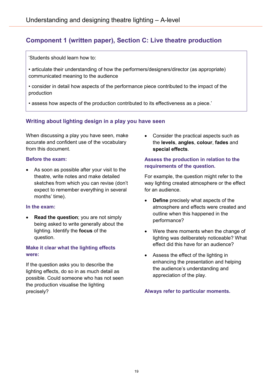# **Component 1 (written paper), Section C: Live theatre production**

'Students should learn how to:

• articulate their understanding of how the performers/designers/director (as appropriate) communicated meaning to the audience

• consider in detail how aspects of the performance piece contributed to the impact of the production

• assess how aspects of the production contributed to its effectiveness as a piece.'

## **Writing about lighting design in a play you have seen**

When discussing a play you have seen, make accurate and confident use of the vocabulary from this document.

#### **Before the exam:**

• As soon as possible after your visit to the theatre, write notes and make detailed sketches from which you can revise (don't expect to remember everything in several months' time).

#### **In the exam:**

• **Read the question**; you are not simply being asked to write generally about the lighting. Identify the **focus** of the question.

#### **Make it clear what the lighting effects were:**

If the question asks you to describe the lighting effects, do so in as much detail as possible. Could someone who has not seen the production visualise the lighting precisely?

• Consider the practical aspects such as the **levels**, **angles**, **colour**, **fades** and **special effects**.

#### **Assess the production in relation to the requirements of the question.**

For example, the question might refer to the way lighting created atmosphere or the effect for an audience.

- **Define** precisely what aspects of the atmosphere and effects were created and outline when this happened in the performance?
- Were there moments when the change of lighting was deliberately noticeable? What effect did this have for an audience?
- Assess the effect of the lighting in enhancing the presentation and helping the audience's understanding and appreciation of the play.

**Always refer to particular moments.**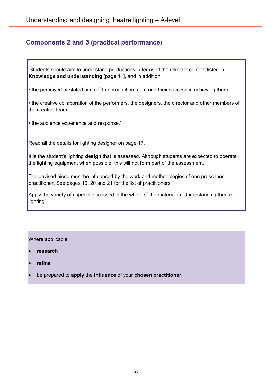# <span id="page-19-0"></span>**Components 2 and 3 (practical performance)**

'Students should aim to understand productions in terms of the relevant content listed in **Knowledge and understanding** [page 11], and in addition:

• the perceived or stated aims of the production team and their success in achieving them

• the creative collaboration of the performers, the designers, the director and other members of the creative team

• the audience experience and response.'

Read all the details for lighting designer on page 17**.**

It is the student's lighting **design** that is assessed. Although students are expected to operate the lighting equipment when possible, this will not form part of the assessment.

The devised piece must be influenced by the work and methodologies of one prescribed practitioner. See pages 19, 20 and 21 for the list of practitioners.

Apply the variety of aspects discussed in the whole of the material in 'Understanding theatre lighting'.

#### Where applicable:

- **research**
- **refine**
- be prepared to **apply** the **influence** of your **chosen practitioner**.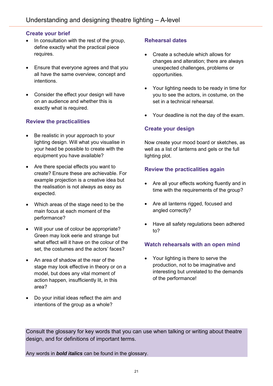#### **Create your brief**

- In consultation with the rest of the group, define exactly what the practical piece requires.
- Ensure that everyone agrees and that you all have the same overview, concept and intentions.
- Consider the effect your design will have on an audience and whether this is exactly what is required.

#### **Review the practicalities**

- Be realistic in your approach to your lighting design. Will what you visualise in your head be possible to create with the equipment you have available?
- Are there special effects you want to create? Ensure these are achievable. For example projection is a creative idea but the realisation is not always as easy as expected.
- Which areas of the stage need to be the main focus at each moment of the performance?
- Will your use of colour be appropriate? Green may look eerie and strange but what effect will it have on the colour of the set, the costumes and the actors' faces?
- An area of shadow at the rear of the stage may look effective in theory or on a model, but does any vital moment of action happen, insufficiently lit, in this area?
- Do your initial ideas reflect the aim and intentions of the group as a whole?

#### **Rehearsal dates**

- Create a schedule which allows for changes and alteration; there are always unexpected challenges, problems or opportunities.
- Your lighting needs to be ready in time for you to see the actors, in costume, on the set in a technical rehearsal.
- Your deadline is not the day of the exam.

#### **Create your design**

Now create your mood board or sketches, as well as a list of lanterns and gels or the full lighting plot.

## **Review the practicalities again**

- Are all your effects working fluently and in time with the requirements of the group?
- Are all lanterns rigged, focused and angled correctly?
- Have all safety regulations been adhered to?

#### **Watch rehearsals with an open mind**

• Your lighting is there to serve the production, not to be imaginative and interesting but unrelated to the demands of the performance!

Consult the glossary for key words that you can use when talking or writing about theatre design, and for definitions of important terms.

Any words in *bold italics* can be found in the glossary.